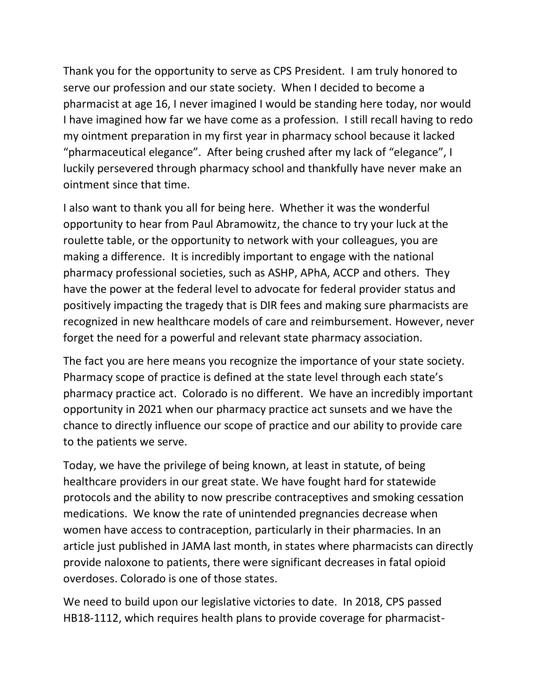Thank you for the opportunity to serve as CPS President. I am truly honored to serve our profession and our state society. When I decided to become a pharmacist at age 16, I never imagined I would be standing here today, nor would I have imagined how far we have come as a profession. I still recall having to redo my ointment preparation in my first year in pharmacy school because it lacked "pharmaceutical elegance". After being crushed after my lack of "elegance", I luckily persevered through pharmacy school and thankfully have never make an ointment since that time.

I also want to thank you all for being here. Whether it was the wonderful opportunity to hear from Paul Abramowitz, the chance to try your luck at the roulette table, or the opportunity to network with your colleagues, you are making a difference. It is incredibly important to engage with the national pharmacy professional societies, such as ASHP, APhA, ACCP and others. They have the power at the federal level to advocate for federal provider status and positively impacting the tragedy that is DIR fees and making sure pharmacists are recognized in new healthcare models of care and reimbursement. However, never forget the need for a powerful and relevant state pharmacy association.

The fact you are here means you recognize the importance of your state society. Pharmacy scope of practice is defined at the state level through each state's pharmacy practice act. Colorado is no different. We have an incredibly important opportunity in 2021 when our pharmacy practice act sunsets and we have the chance to directly influence our scope of practice and our ability to provide care to the patients we serve.

Today, we have the privilege of being known, at least in statute, of being healthcare providers in our great state. We have fought hard for statewide protocols and the ability to now prescribe contraceptives and smoking cessation medications. We know the rate of unintended pregnancies decrease when women have access to contraception, particularly in their pharmacies. In an article just published in JAMA last month, in states where pharmacists can directly provide naloxone to patients, there were significant decreases in fatal opioid overdoses. Colorado is one of those states.

We need to build upon our legislative victories to date. In 2018, CPS passed HB18-1112, which requires health plans to provide coverage for pharmacist